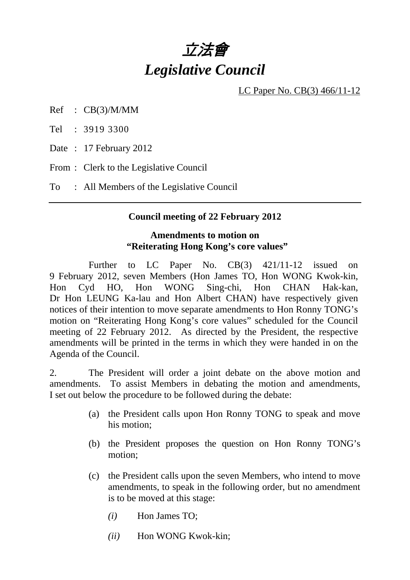# 立法會 *Legislative Council*

LC Paper No. CB(3) 466/11-12

Ref : CB(3)/M/MM

Tel : 3919 3300

Date: 17 February 2012

From : Clerk to the Legislative Council

To : All Members of the Legislative Council

#### **Council meeting of 22 February 2012**

#### **Amendments to motion on "Reiterating Hong Kong's core values"**

Further to LC Paper No. CB(3) 421/11-12 issued on 9 February 2012, seven Members (Hon James TO, Hon WONG Kwok-kin, Hon Cyd HO, Hon WONG Sing-chi, Hon CHAN Hak-kan, Dr Hon LEUNG Ka-lau and Hon Albert CHAN) have respectively given notices of their intention to move separate amendments to Hon Ronny TONG's motion on "Reiterating Hong Kong's core values" scheduled for the Council meeting of 22 February 2012. As directed by the President, the respective amendments will be printed in the terms in which they were handed in on the Agenda of the Council.

2. The President will order a joint debate on the above motion and amendments. To assist Members in debating the motion and amendments, I set out below the procedure to be followed during the debate:

- (a) the President calls upon Hon Ronny TONG to speak and move his motion;
- (b) the President proposes the question on Hon Ronny TONG's motion;
- (c) the President calls upon the seven Members, who intend to move amendments, to speak in the following order, but no amendment is to be moved at this stage:
	- *(i)* Hon James TO;
	- *(ii)* Hon WONG Kwok-kin;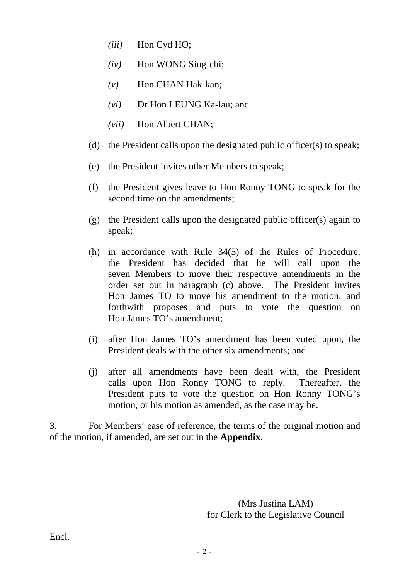- *(iii)* Hon Cyd HO;
- *(iv)* Hon WONG Sing-chi;
- *(v)* Hon CHAN Hak-kan;
- *(vi)* Dr Hon LEUNG Ka-lau; and
- *(vii)* Hon Albert CHAN;
- (d) the President calls upon the designated public officer(s) to speak;
- (e) the President invites other Members to speak;
- (f) the President gives leave to Hon Ronny TONG to speak for the second time on the amendments;
- (g) the President calls upon the designated public officer(s) again to speak;
- (h) in accordance with Rule 34(5) of the Rules of Procedure, the President has decided that he will call upon the seven Members to move their respective amendments in the order set out in paragraph (c) above. The President invites Hon James TO to move his amendment to the motion, and forthwith proposes and puts to vote the question on Hon James TO's amendment;
- (i) after Hon James TO's amendment has been voted upon, the President deals with the other six amendments; and
- (j) after all amendments have been dealt with, the President calls upon Hon Ronny TONG to reply. Thereafter, the President puts to vote the question on Hon Ronny TONG's motion, or his motion as amended, as the case may be.

3. For Members' ease of reference, the terms of the original motion and of the motion, if amended, are set out in the **Appendix**.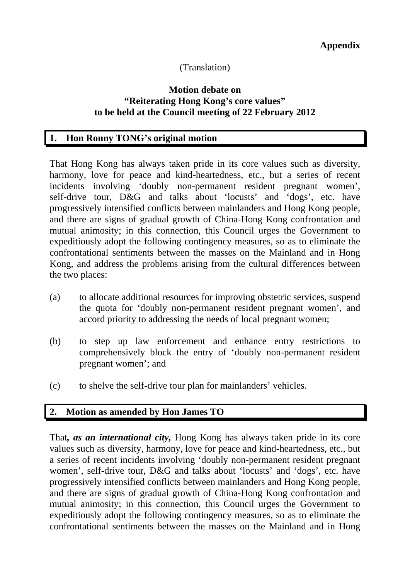# (Translation)

### **Motion debate on "Reiterating Hong Kong's core values" to be held at the Council meeting of 22 February 2012**

## **1. Hon Ronny TONG's original motion**

That Hong Kong has always taken pride in its core values such as diversity, harmony, love for peace and kind-heartedness, etc., but a series of recent incidents involving 'doubly non-permanent resident pregnant women', self-drive tour, D&G and talks about 'locusts' and 'dogs', etc. have progressively intensified conflicts between mainlanders and Hong Kong people, and there are signs of gradual growth of China-Hong Kong confrontation and mutual animosity; in this connection, this Council urges the Government to expeditiously adopt the following contingency measures, so as to eliminate the confrontational sentiments between the masses on the Mainland and in Hong Kong, and address the problems arising from the cultural differences between the two places:

- (a) to allocate additional resources for improving obstetric services, suspend the quota for 'doubly non-permanent resident pregnant women', and accord priority to addressing the needs of local pregnant women;
- (b) to step up law enforcement and enhance entry restrictions to comprehensively block the entry of 'doubly non-permanent resident pregnant women'; and
- (c) to shelve the self-drive tour plan for mainlanders' vehicles.

### **2. Motion as amended by Hon James TO**

That*, as an international city,* Hong Kong has always taken pride in its core values such as diversity, harmony, love for peace and kind-heartedness, etc., but a series of recent incidents involving 'doubly non-permanent resident pregnant women', self-drive tour, D&G and talks about 'locusts' and 'dogs', etc. have progressively intensified conflicts between mainlanders and Hong Kong people, and there are signs of gradual growth of China-Hong Kong confrontation and mutual animosity; in this connection, this Council urges the Government to expeditiously adopt the following contingency measures, so as to eliminate the confrontational sentiments between the masses on the Mainland and in Hong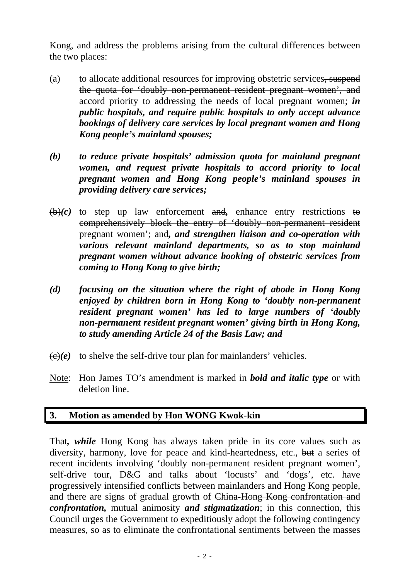Kong, and address the problems arising from the cultural differences between the two places:

- (a) to allocate additional resources for improving obstetric services, suspend the quota for 'doubly non-permanent resident pregnant women', and accord priority to addressing the needs of local pregnant women; *in public hospitals, and require public hospitals to only accept advance bookings of delivery care services by local pregnant women and Hong Kong people's mainland spouses;*
- *(b) to reduce private hospitals' admission quota for mainland pregnant women, and request private hospitals to accord priority to local pregnant women and Hong Kong people's mainland spouses in providing delivery care services;*
- $\overline{(b)}(c)$  to step up law enforcement and, enhance entry restrictions to comprehensively block the entry of 'doubly non-permanent resident pregnant women'; and*, and strengthen liaison and co-operation with various relevant mainland departments, so as to stop mainland pregnant women without advance booking of obstetric services from coming to Hong Kong to give birth;*
- *(d) focusing on the situation where the right of abode in Hong Kong enjoyed by children born in Hong Kong to 'doubly non-permanent resident pregnant women' has led to large numbers of 'doubly non-permanent resident pregnant women' giving birth in Hong Kong, to study amending Article 24 of the Basis Law; and*
- $\langle \epsilon \rangle$ (*e*) to shelve the self-drive tour plan for mainlanders' vehicles.
- Note: Hon James TO's amendment is marked in *bold and italic type* or with deletion line.

# **3. Motion as amended by Hon WONG Kwok-kin**

That*, while* Hong Kong has always taken pride in its core values such as diversity, harmony, love for peace and kind-heartedness, etc., but a series of recent incidents involving 'doubly non-permanent resident pregnant women', self-drive tour, D&G and talks about 'locusts' and 'dogs', etc. have progressively intensified conflicts between mainlanders and Hong Kong people, and there are signs of gradual growth of China-Hong Kong confrontation and *confrontation,* mutual animosity *and stigmatization*; in this connection, this Council urges the Government to expeditiously adopt the following contingency measures, so as to eliminate the confrontational sentiments between the masses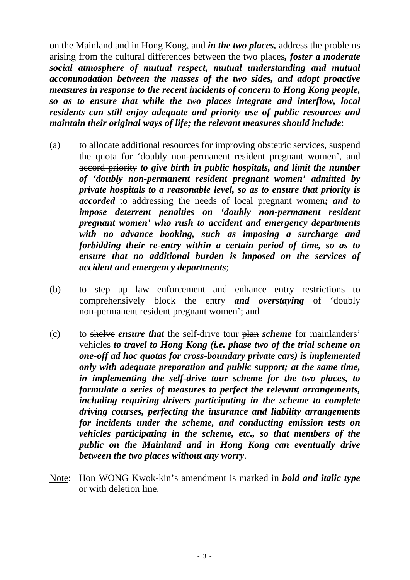on the Mainland and in Hong Kong, and *in the two places,* address the problems arising from the cultural differences between the two places*, foster a moderate social atmosphere of mutual respect, mutual understanding and mutual accommodation between the masses of the two sides, and adopt proactive measures in response to the recent incidents of concern to Hong Kong people, so as to ensure that while the two places integrate and interflow, local residents can still enjoy adequate and priority use of public resources and maintain their original ways of life; the relevant measures should include*:

- (a) to allocate additional resources for improving obstetric services, suspend the quota for 'doubly non-permanent resident pregnant women', and accord priority *to give birth in public hospitals, and limit the number of 'doubly non-permanent resident pregnant women' admitted by private hospitals to a reasonable level, so as to ensure that priority is accorded* to addressing the needs of local pregnant women*; and to impose deterrent penalties on 'doubly non-permanent resident pregnant women' who rush to accident and emergency departments with no advance booking, such as imposing a surcharge and forbidding their re-entry within a certain period of time, so as to ensure that no additional burden is imposed on the services of accident and emergency departments*;
- (b) to step up law enforcement and enhance entry restrictions to comprehensively block the entry *and overstaying* of 'doubly non-permanent resident pregnant women'; and
- (c) to shelve *ensure that* the self-drive tour plan *scheme* for mainlanders' vehicles *to travel to Hong Kong (i.e. phase two of the trial scheme on one-off ad hoc quotas for cross-boundary private cars) is implemented only with adequate preparation and public support; at the same time, in implementing the self-drive tour scheme for the two places, to formulate a series of measures to perfect the relevant arrangements, including requiring drivers participating in the scheme to complete driving courses, perfecting the insurance and liability arrangements for incidents under the scheme, and conducting emission tests on vehicles participating in the scheme, etc., so that members of the public on the Mainland and in Hong Kong can eventually drive between the two places without any worry*.
- Note: Hon WONG Kwok-kin's amendment is marked in *bold and italic type* or with deletion line.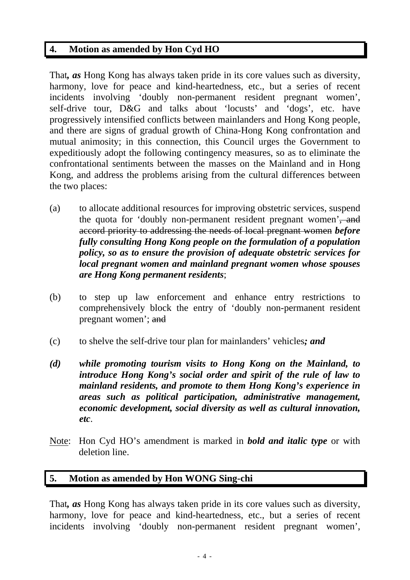## **4. Motion as amended by Hon Cyd HO**

That*, as* Hong Kong has always taken pride in its core values such as diversity, harmony, love for peace and kind-heartedness, etc., but a series of recent incidents involving 'doubly non-permanent resident pregnant women', self-drive tour, D&G and talks about 'locusts' and 'dogs', etc. have progressively intensified conflicts between mainlanders and Hong Kong people, and there are signs of gradual growth of China-Hong Kong confrontation and mutual animosity; in this connection, this Council urges the Government to expeditiously adopt the following contingency measures, so as to eliminate the confrontational sentiments between the masses on the Mainland and in Hong Kong, and address the problems arising from the cultural differences between the two places:

- (a) to allocate additional resources for improving obstetric services, suspend the quota for 'doubly non-permanent resident pregnant women', and accord priority to addressing the needs of local pregnant women *before fully consulting Hong Kong people on the formulation of a population policy, so as to ensure the provision of adequate obstetric services for local pregnant women and mainland pregnant women whose spouses are Hong Kong permanent residents*;
- (b) to step up law enforcement and enhance entry restrictions to comprehensively block the entry of 'doubly non-permanent resident pregnant women'; and
- (c) to shelve the self-drive tour plan for mainlanders' vehicles*; and*
- *(d) while promoting tourism visits to Hong Kong on the Mainland, to introduce Hong Kong's social order and spirit of the rule of law to mainland residents, and promote to them Hong Kong's experience in areas such as political participation, administrative management, economic development, social diversity as well as cultural innovation, etc*.
- Note: Hon Cyd HO's amendment is marked in *bold and italic type* or with deletion line.

### **5. Motion as amended by Hon WONG Sing-chi**

That*, as* Hong Kong has always taken pride in its core values such as diversity, harmony, love for peace and kind-heartedness, etc., but a series of recent incidents involving 'doubly non-permanent resident pregnant women',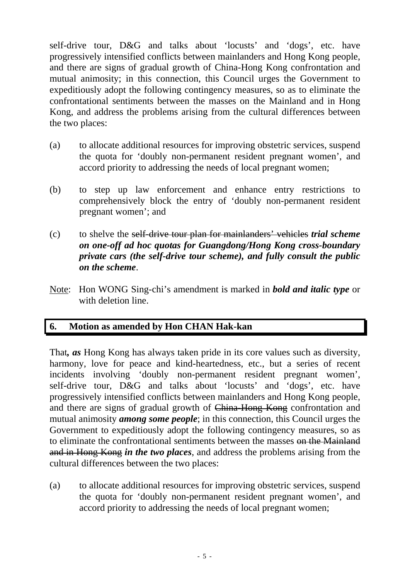self-drive tour, D&G and talks about 'locusts' and 'dogs', etc. have progressively intensified conflicts between mainlanders and Hong Kong people, and there are signs of gradual growth of China-Hong Kong confrontation and mutual animosity; in this connection, this Council urges the Government to expeditiously adopt the following contingency measures, so as to eliminate the confrontational sentiments between the masses on the Mainland and in Hong Kong, and address the problems arising from the cultural differences between the two places:

- (a) to allocate additional resources for improving obstetric services, suspend the quota for 'doubly non-permanent resident pregnant women', and accord priority to addressing the needs of local pregnant women;
- (b) to step up law enforcement and enhance entry restrictions to comprehensively block the entry of 'doubly non-permanent resident pregnant women'; and
- (c) to shelve the self-drive tour plan for mainlanders' vehicles *trial scheme on one-off ad hoc quotas for Guangdong/Hong Kong cross-boundary private cars (the self-drive tour scheme), and fully consult the public on the scheme*.
- Note: Hon WONG Sing-chi's amendment is marked in *bold and italic type* or with deletion line.

## **6. Motion as amended by Hon CHAN Hak-kan**

That*, as* Hong Kong has always taken pride in its core values such as diversity, harmony, love for peace and kind-heartedness, etc., but a series of recent incidents involving 'doubly non-permanent resident pregnant women', self-drive tour, D&G and talks about 'locusts' and 'dogs', etc. have progressively intensified conflicts between mainlanders and Hong Kong people, and there are signs of gradual growth of China-Hong Kong confrontation and mutual animosity *among some people*; in this connection, this Council urges the Government to expeditiously adopt the following contingency measures, so as to eliminate the confrontational sentiments between the masses on the Mainland and in Hong Kong *in the two places*, and address the problems arising from the cultural differences between the two places:

(a) to allocate additional resources for improving obstetric services, suspend the quota for 'doubly non-permanent resident pregnant women', and accord priority to addressing the needs of local pregnant women;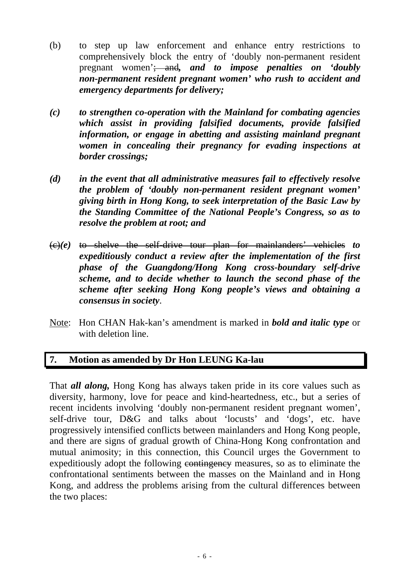- (b) to step up law enforcement and enhance entry restrictions to comprehensively block the entry of 'doubly non-permanent resident pregnant women'; and*, and to impose penalties on 'doubly non-permanent resident pregnant women' who rush to accident and emergency departments for delivery;*
- *(c) to strengthen co-operation with the Mainland for combating agencies which assist in providing falsified documents, provide falsified information, or engage in abetting and assisting mainland pregnant women in concealing their pregnancy for evading inspections at border crossings;*
- *(d) in the event that all administrative measures fail to effectively resolve the problem of 'doubly non-permanent resident pregnant women' giving birth in Hong Kong, to seek interpretation of the Basic Law by the Standing Committee of the National People's Congress, so as to resolve the problem at root; and*
- (c)*(e)* to shelve the self-drive tour plan for mainlanders' vehicles *to expeditiously conduct a review after the implementation of the first phase of the Guangdong/Hong Kong cross-boundary self-drive scheme, and to decide whether to launch the second phase of the scheme after seeking Hong Kong people's views and obtaining a consensus in society*.
- Note: Hon CHAN Hak-kan's amendment is marked in *bold and italic type* or with deletion line.

# **7. Motion as amended by Dr Hon LEUNG Ka-lau**

That *all along,* Hong Kong has always taken pride in its core values such as diversity, harmony, love for peace and kind-heartedness, etc., but a series of recent incidents involving 'doubly non-permanent resident pregnant women', self-drive tour, D&G and talks about 'locusts' and 'dogs', etc. have progressively intensified conflicts between mainlanders and Hong Kong people, and there are signs of gradual growth of China-Hong Kong confrontation and mutual animosity; in this connection, this Council urges the Government to expeditiously adopt the following contingency measures, so as to eliminate the confrontational sentiments between the masses on the Mainland and in Hong Kong, and address the problems arising from the cultural differences between the two places: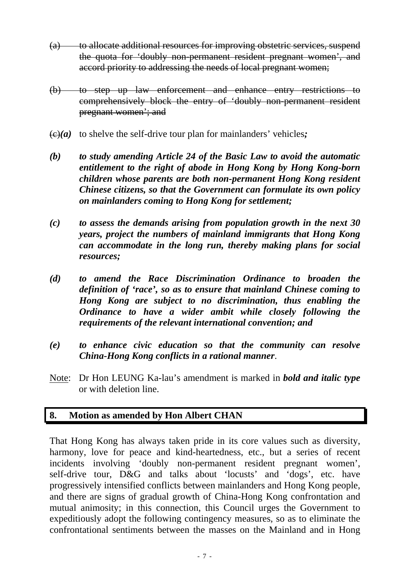- (a) to allocate additional resources for improving obstetric services, suspend the quota for 'doubly non-permanent resident pregnant women', and accord priority to addressing the needs of local pregnant women;
- (b) to step up law enforcement and enhance entry restrictions to comprehensively block the entry of 'doubly non-permanent resident pregnant women'; and
- $\left(\frac{f(x)}{g(x)}\right)$  to shelve the self-drive tour plan for mainlanders' vehicles;
- *(b) to study amending Article 24 of the Basic Law to avoid the automatic entitlement to the right of abode in Hong Kong by Hong Kong-born children whose parents are both non-permanent Hong Kong resident Chinese citizens, so that the Government can formulate its own policy on mainlanders coming to Hong Kong for settlement;*
- *(c) to assess the demands arising from population growth in the next 30 years, project the numbers of mainland immigrants that Hong Kong can accommodate in the long run, thereby making plans for social resources;*
- *(d) to amend the Race Discrimination Ordinance to broaden the definition of 'race', so as to ensure that mainland Chinese coming to Hong Kong are subject to no discrimination, thus enabling the Ordinance to have a wider ambit while closely following the requirements of the relevant international convention; and*
- *(e) to enhance civic education so that the community can resolve China-Hong Kong conflicts in a rational manner*.
- Note: Dr Hon LEUNG Ka-lau's amendment is marked in *bold and italic type* or with deletion line.

### **8. Motion as amended by Hon Albert CHAN**

That Hong Kong has always taken pride in its core values such as diversity, harmony, love for peace and kind-heartedness, etc., but a series of recent incidents involving 'doubly non-permanent resident pregnant women', self-drive tour, D&G and talks about 'locusts' and 'dogs', etc. have progressively intensified conflicts between mainlanders and Hong Kong people, and there are signs of gradual growth of China-Hong Kong confrontation and mutual animosity; in this connection, this Council urges the Government to expeditiously adopt the following contingency measures, so as to eliminate the confrontational sentiments between the masses on the Mainland and in Hong